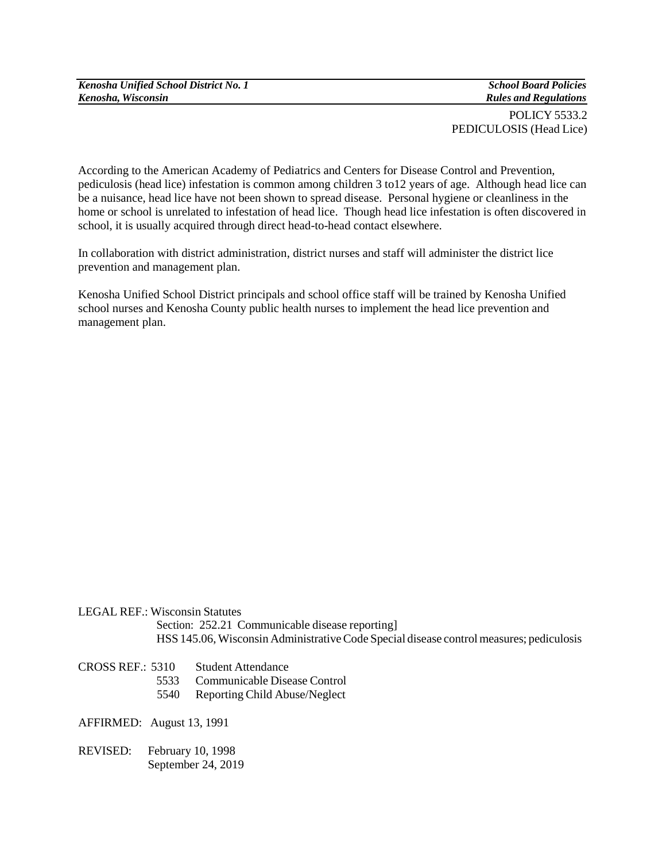*Kenosha Unified School District No. 1 Kenosha, Wisconsin*

*School Board Policies Rules and Regulations*

POLICY 5533.2 PEDICULOSIS (Head Lice)

According to the American Academy of Pediatrics and Centers for Disease Control and Prevention, pediculosis (head lice) infestation is common among children 3 to12 years of age. Although head lice can be a nuisance, head lice have not been shown to spread disease. Personal hygiene or cleanliness in the home or school is unrelated to infestation of head lice. Though head lice infestation is often discovered in school, it is usually acquired through direct head-to-head contact elsewhere.

In collaboration with district administration, district nurses and staff will administer the district lice prevention and management plan.

Kenosha Unified School District principals and school office staff will be trained by Kenosha Unified school nurses and Kenosha County public health nurses to implement the head lice prevention and management plan.

LEGAL REF.: Wisconsin Statutes

Section: 252.21 Communicable disease reporting HSS 145.06, Wisconsin Administrative Code Special disease control measures; pediculosis

## CROSS REF.: 5310 Student Attendance

- 5533 Communicable Disease Control
- 5540 Reporting Child Abuse/Neglect

AFFIRMED: August 13, 1991

REVISED: February 10, 1998 September 24, 2019